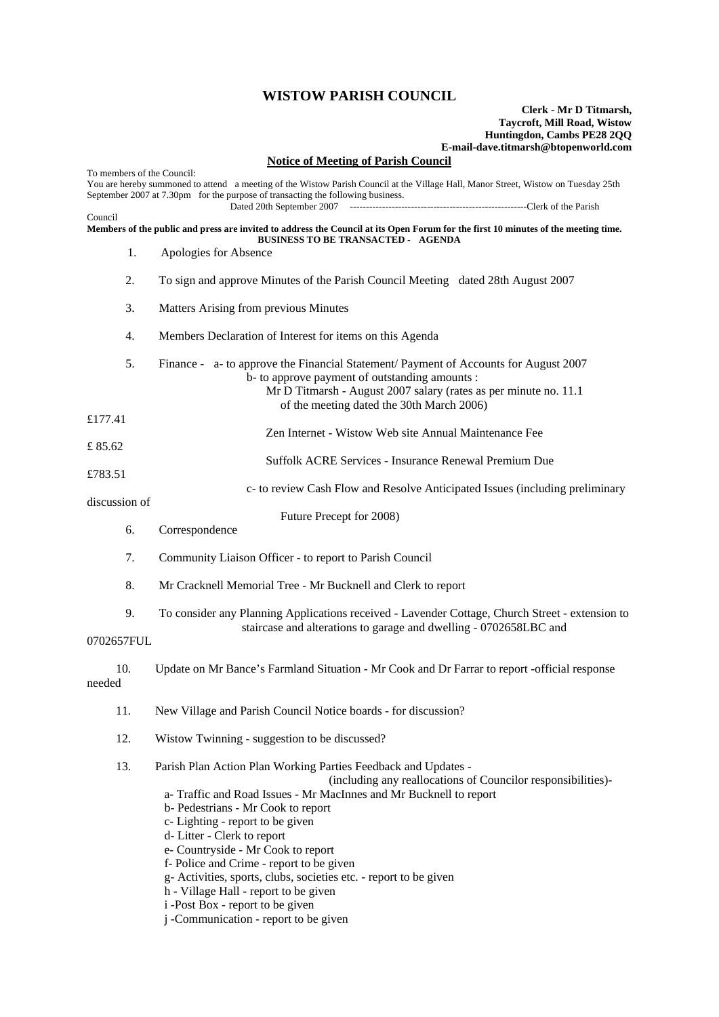## **WISTOW PARISH COUNCIL**

## **Clerk - Mr D Titmarsh, Taycroft, Mill Road, Wistow Huntingdon, Cambs PE28 2QQ E-mail-dave.titmarsh@btopenworld.com**

## **Notice of Meeting of Parish Council**

| To members of the Council:<br>You are hereby summoned to attend a meeting of the Wistow Parish Council at the Village Hall, Manor Street, Wistow on Tuesday 25th<br>September 2007 at 7.30pm for the purpose of transacting the following business. |                                                                                                                                                                                                                                                                                                                                                                                                                                                                                                                                                                                         |
|-----------------------------------------------------------------------------------------------------------------------------------------------------------------------------------------------------------------------------------------------------|-----------------------------------------------------------------------------------------------------------------------------------------------------------------------------------------------------------------------------------------------------------------------------------------------------------------------------------------------------------------------------------------------------------------------------------------------------------------------------------------------------------------------------------------------------------------------------------------|
|                                                                                                                                                                                                                                                     | Dated 20th September 2007                                                                                                                                                                                                                                                                                                                                                                                                                                                                                                                                                               |
| Council<br>Members of the public and press are invited to address the Council at its Open Forum for the first 10 minutes of the meeting time.<br><b>BUSINESS TO BE TRANSACTED - AGENDA</b>                                                          |                                                                                                                                                                                                                                                                                                                                                                                                                                                                                                                                                                                         |
| 1.                                                                                                                                                                                                                                                  | Apologies for Absence                                                                                                                                                                                                                                                                                                                                                                                                                                                                                                                                                                   |
| 2.                                                                                                                                                                                                                                                  | To sign and approve Minutes of the Parish Council Meeting dated 28th August 2007                                                                                                                                                                                                                                                                                                                                                                                                                                                                                                        |
| 3.                                                                                                                                                                                                                                                  | Matters Arising from previous Minutes                                                                                                                                                                                                                                                                                                                                                                                                                                                                                                                                                   |
| 4.                                                                                                                                                                                                                                                  | Members Declaration of Interest for items on this Agenda                                                                                                                                                                                                                                                                                                                                                                                                                                                                                                                                |
| 5.                                                                                                                                                                                                                                                  | Finance - a- to approve the Financial Statement/ Payment of Accounts for August 2007<br>b- to approve payment of outstanding amounts :<br>Mr D Titmarsh - August 2007 salary (rates as per minute no. 11.1<br>of the meeting dated the 30th March 2006)                                                                                                                                                                                                                                                                                                                                 |
| £177.41                                                                                                                                                                                                                                             |                                                                                                                                                                                                                                                                                                                                                                                                                                                                                                                                                                                         |
| £85.62                                                                                                                                                                                                                                              | Zen Internet - Wistow Web site Annual Maintenance Fee                                                                                                                                                                                                                                                                                                                                                                                                                                                                                                                                   |
|                                                                                                                                                                                                                                                     | Suffolk ACRE Services - Insurance Renewal Premium Due                                                                                                                                                                                                                                                                                                                                                                                                                                                                                                                                   |
| £783.51<br>discussion of                                                                                                                                                                                                                            | c- to review Cash Flow and Resolve Anticipated Issues (including preliminary                                                                                                                                                                                                                                                                                                                                                                                                                                                                                                            |
|                                                                                                                                                                                                                                                     | Future Precept for 2008)                                                                                                                                                                                                                                                                                                                                                                                                                                                                                                                                                                |
| 6.                                                                                                                                                                                                                                                  | Correspondence                                                                                                                                                                                                                                                                                                                                                                                                                                                                                                                                                                          |
| 7.                                                                                                                                                                                                                                                  | Community Liaison Officer - to report to Parish Council                                                                                                                                                                                                                                                                                                                                                                                                                                                                                                                                 |
| 8.                                                                                                                                                                                                                                                  | Mr Cracknell Memorial Tree - Mr Bucknell and Clerk to report                                                                                                                                                                                                                                                                                                                                                                                                                                                                                                                            |
| 9.                                                                                                                                                                                                                                                  | To consider any Planning Applications received - Lavender Cottage, Church Street - extension to<br>staircase and alterations to garage and dwelling - 0702658LBC and                                                                                                                                                                                                                                                                                                                                                                                                                    |
| 0702657FUL                                                                                                                                                                                                                                          |                                                                                                                                                                                                                                                                                                                                                                                                                                                                                                                                                                                         |
| 10.<br>needed                                                                                                                                                                                                                                       | Update on Mr Bance's Farmland Situation - Mr Cook and Dr Farrar to report -official response                                                                                                                                                                                                                                                                                                                                                                                                                                                                                            |
| 11.                                                                                                                                                                                                                                                 | New Village and Parish Council Notice boards - for discussion?                                                                                                                                                                                                                                                                                                                                                                                                                                                                                                                          |
| 12.                                                                                                                                                                                                                                                 | Wistow Twinning - suggestion to be discussed?                                                                                                                                                                                                                                                                                                                                                                                                                                                                                                                                           |
| 13.                                                                                                                                                                                                                                                 | Parish Plan Action Plan Working Parties Feedback and Updates -<br>(including any reallocations of Councilor responsibilities)-<br>a-Traffic and Road Issues - Mr MacInnes and Mr Bucknell to report<br>b- Pedestrians - Mr Cook to report<br>c-Lighting - report to be given<br>d-Litter - Clerk to report<br>e- Countryside - Mr Cook to report<br>f- Police and Crime - report to be given<br>g- Activities, sports, clubs, societies etc. - report to be given<br>h - Village Hall - report to be given<br>i -Post Box - report to be given<br>j -Communication - report to be given |